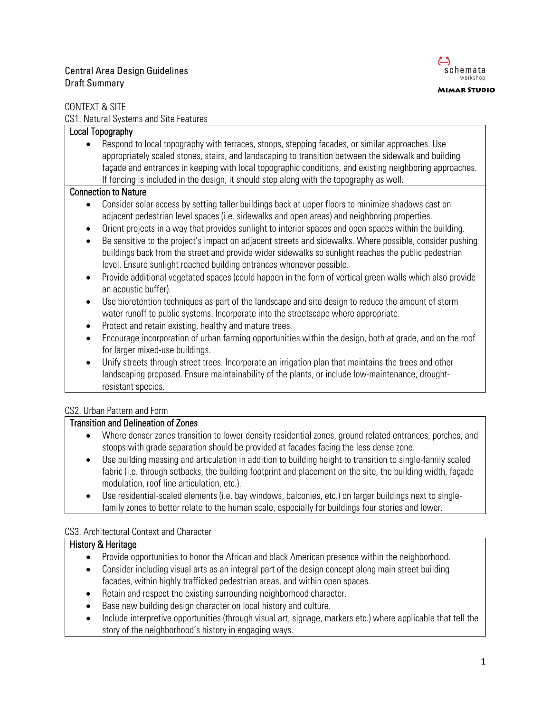## Central Area Design Guidelines and the contral Area Design Guidelines and the contral Area Design Guidelines Draft Summary



#### CONTEXT & SITE

CS1. Natural Systems and Site Features

### Local Topography

• Respond to local topography with terraces, stoops, stepping facades, or similar approaches. Use appropriately scaled stones, stairs, and landscaping to transition between the sidewalk and building façade and entrances in keeping with local topographic conditions, and existing neighboring approaches. If fencing is included in the design, it should step along with the topography as well.

#### Connection to Nature

- Consider solar access by setting taller buildings back at upper floors to minimize shadows cast on adjacent pedestrian level spaces (i.e. sidewalks and open areas) and neighboring properties.
- Orient projects in a way that provides sunlight to interior spaces and open spaces within the building.
- Be sensitive to the project's impact on adjacent streets and sidewalks. Where possible, consider pushing buildings back from the street and provide wider sidewalks so sunlight reaches the public pedestrian level. Ensure sunlight reached building entrances whenever possible.
- Provide additional vegetated spaces (could happen in the form of vertical green walls which also provide an acoustic buffer).
- Use bioretention techniques as part of the landscape and site design to reduce the amount of storm water runoff to public systems. Incorporate into the streetscape where appropriate.
- Protect and retain existing, healthy and mature trees.
- Encourage incorporation of urban farming opportunities within the design, both at grade, and on the roof for larger mixed-use buildings.
- Unify streets through street trees. Incorporate an irrigation plan that maintains the trees and other landscaping proposed. Ensure maintainability of the plants, or include low-maintenance, droughtresistant species.

### CS2. Urban Pattern and Form

### Transition and Delineation of Zones

- Where denser zones transition to lower density residential zones, ground related entrances, porches, and stoops with grade separation should be provided at facades facing the less dense zone.
- Use building massing and articulation in addition to building height to transition to single-family scaled fabric (i.e. through setbacks, the building footprint and placement on the site, the building width, façade modulation, roof line articulation, etc.).
- Use residential-scaled elements (i.e. bay windows, balconies, etc.) on larger buildings next to singlefamily zones to better relate to the human scale, especially for buildings four stories and lower.

### CS3. Architectural Context and Character

### History & Heritage

- Provide opportunities to honor the African and black American presence within the neighborhood.
- Consider including visual arts as an integral part of the design concept along main street building facades, within highly trafficked pedestrian areas, and within open spaces.
- Retain and respect the existing surrounding neighborhood character.
- Base new building design character on local history and culture.
- Include interpretive opportunities (through visual art, signage, markers etc.) where applicable that tell the story of the neighborhood's history in engaging ways.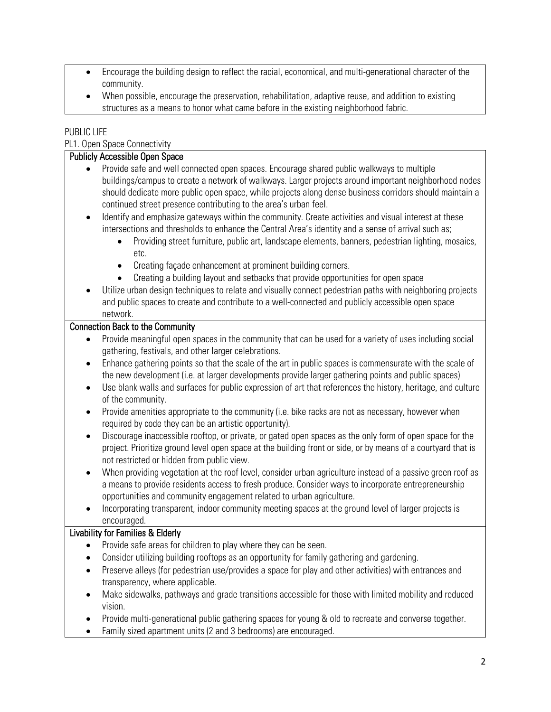- Encourage the building design to reflect the racial, economical, and multi-generational character of the community.
- When possible, encourage the preservation, rehabilitation, adaptive reuse, and addition to existing structures as a means to honor what came before in the existing neighborhood fabric.

### PUBLIC LIFE

| PL1. Open Space Connectivity                                                                                                                                                                                                                                                                                                                                                                                                                                                                                                                                                                                                                                                                                                                                                                                                                                                                                                                                                                             |
|----------------------------------------------------------------------------------------------------------------------------------------------------------------------------------------------------------------------------------------------------------------------------------------------------------------------------------------------------------------------------------------------------------------------------------------------------------------------------------------------------------------------------------------------------------------------------------------------------------------------------------------------------------------------------------------------------------------------------------------------------------------------------------------------------------------------------------------------------------------------------------------------------------------------------------------------------------------------------------------------------------|
| <b>Publicly Accessible Open Space</b>                                                                                                                                                                                                                                                                                                                                                                                                                                                                                                                                                                                                                                                                                                                                                                                                                                                                                                                                                                    |
| Provide safe and well connected open spaces. Encourage shared public walkways to multiple<br>buildings/campus to create a network of walkways. Larger projects around important neighborhood nodes<br>should dedicate more public open space, while projects along dense business corridors should maintain a<br>continued street presence contributing to the area's urban feel.<br>Identify and emphasize gateways within the community. Create activities and visual interest at these<br>$\bullet$<br>intersections and thresholds to enhance the Central Area's identity and a sense of arrival such as;<br>Providing street furniture, public art, landscape elements, banners, pedestrian lighting, mosaics,<br>etc.<br>Creating façade enhancement at prominent building corners.<br>$\bullet$<br>Creating a building layout and setbacks that provide opportunities for open space<br>Utilize urban design techniques to relate and visually connect pedestrian paths with neighboring projects |
| and public spaces to create and contribute to a well-connected and publicly accessible open space<br>network.                                                                                                                                                                                                                                                                                                                                                                                                                                                                                                                                                                                                                                                                                                                                                                                                                                                                                            |
| <b>Connection Back to the Community</b>                                                                                                                                                                                                                                                                                                                                                                                                                                                                                                                                                                                                                                                                                                                                                                                                                                                                                                                                                                  |
| Provide meaningful open spaces in the community that can be used for a variety of uses including social                                                                                                                                                                                                                                                                                                                                                                                                                                                                                                                                                                                                                                                                                                                                                                                                                                                                                                  |
| gathering, festivals, and other larger celebrations.                                                                                                                                                                                                                                                                                                                                                                                                                                                                                                                                                                                                                                                                                                                                                                                                                                                                                                                                                     |
| Enhance gathering points so that the scale of the art in public spaces is commensurate with the scale of<br>$\bullet$<br>the new development (i.e. at larger developments provide larger gathering points and public spaces)<br>Use blank walls and surfaces for public expression of art that references the history, heritage, and culture<br>$\bullet$                                                                                                                                                                                                                                                                                                                                                                                                                                                                                                                                                                                                                                                |
| of the community.<br>Provide amenities appropriate to the community (i.e. bike racks are not as necessary, however when<br>$\bullet$<br>required by code they can be an artistic opportunity).                                                                                                                                                                                                                                                                                                                                                                                                                                                                                                                                                                                                                                                                                                                                                                                                           |
| Discourage inaccessible rooftop, or private, or gated open spaces as the only form of open space for the<br>$\bullet$<br>project. Prioritize ground level open space at the building front or side, or by means of a courtyard that is<br>not restricted or hidden from public view.                                                                                                                                                                                                                                                                                                                                                                                                                                                                                                                                                                                                                                                                                                                     |
| When providing vegetation at the roof level, consider urban agriculture instead of a passive green roof as<br>$\bullet$<br>a means to provide residents access to fresh produce. Consider ways to incorporate entrepreneurship<br>opportunities and community engagement related to urban agriculture.                                                                                                                                                                                                                                                                                                                                                                                                                                                                                                                                                                                                                                                                                                   |
| Incorporating transparent, indoor community meeting spaces at the ground level of larger projects is<br>encouraged.                                                                                                                                                                                                                                                                                                                                                                                                                                                                                                                                                                                                                                                                                                                                                                                                                                                                                      |
| <b>Livability for Families &amp; Elderly</b>                                                                                                                                                                                                                                                                                                                                                                                                                                                                                                                                                                                                                                                                                                                                                                                                                                                                                                                                                             |
| Provide safe areas for children to play where they can be seen.                                                                                                                                                                                                                                                                                                                                                                                                                                                                                                                                                                                                                                                                                                                                                                                                                                                                                                                                          |
| Consider utilizing building rooftops as an opportunity for family gathering and gardening.                                                                                                                                                                                                                                                                                                                                                                                                                                                                                                                                                                                                                                                                                                                                                                                                                                                                                                               |
| Preserve alleys (for pedestrian use/provides a space for play and other activities) with entrances and<br>$\bullet$                                                                                                                                                                                                                                                                                                                                                                                                                                                                                                                                                                                                                                                                                                                                                                                                                                                                                      |
| transparency, where applicable.                                                                                                                                                                                                                                                                                                                                                                                                                                                                                                                                                                                                                                                                                                                                                                                                                                                                                                                                                                          |
| Make sidewalks, pathways and grade transitions accessible for those with limited mobility and reduced<br>$\bullet$<br>vision.                                                                                                                                                                                                                                                                                                                                                                                                                                                                                                                                                                                                                                                                                                                                                                                                                                                                            |
| Provide multi-generational public gathering spaces for young & old to recreate and converse together.<br>Family sized apartment units (2 and 3 bedrooms) are encouraged.                                                                                                                                                                                                                                                                                                                                                                                                                                                                                                                                                                                                                                                                                                                                                                                                                                 |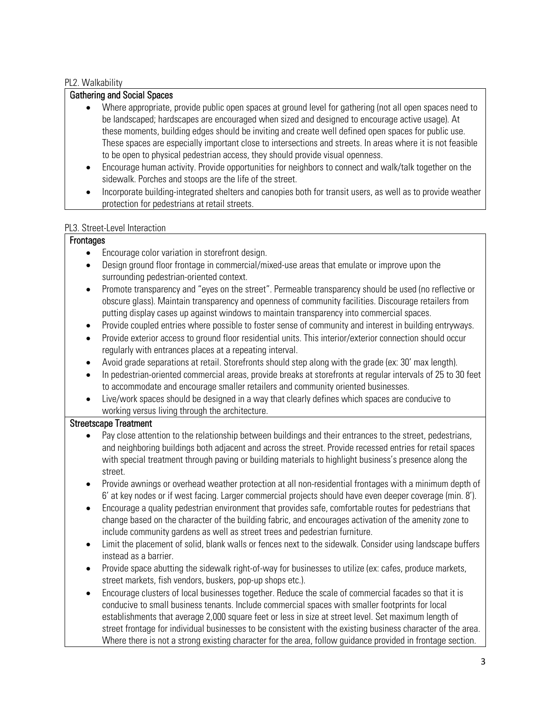### PL2. Walkability

## Gathering and Social Spaces

- Where appropriate, provide public open spaces at ground level for gathering (not all open spaces need to be landscaped; hardscapes are encouraged when sized and designed to encourage active usage). At these moments, building edges should be inviting and create well defined open spaces for public use. These spaces are especially important close to intersections and streets. In areas where it is not feasible to be open to physical pedestrian access, they should provide visual openness.
- Encourage human activity. Provide opportunities for neighbors to connect and walk/talk together on the sidewalk. Porches and stoops are the life of the street.
- Incorporate building-integrated shelters and canopies both for transit users, as well as to provide weather protection for pedestrians at retail streets.

#### PL3. Street-Level Interaction

### **Frontages**

- Encourage color variation in storefront design.
- Design ground floor frontage in commercial/mixed-use areas that emulate or improve upon the surrounding pedestrian-oriented context.
- Promote transparency and "eyes on the street". Permeable transparency should be used (no reflective or obscure glass). Maintain transparency and openness of community facilities. Discourage retailers from putting display cases up against windows to maintain transparency into commercial spaces.
- Provide coupled entries where possible to foster sense of community and interest in building entryways.
- Provide exterior access to ground floor residential units. This interior/exterior connection should occur regularly with entrances places at a repeating interval.
- Avoid grade separations at retail. Storefronts should step along with the grade (ex: 30' max length).
- In pedestrian-oriented commercial areas, provide breaks at storefronts at regular intervals of 25 to 30 feet to accommodate and encourage smaller retailers and community oriented businesses.
- Live/work spaces should be designed in a way that clearly defines which spaces are conducive to working versus living through the architecture.

### Streetscape Treatment

- Pay close attention to the relationship between buildings and their entrances to the street, pedestrians, and neighboring buildings both adjacent and across the street. Provide recessed entries for retail spaces with special treatment through paving or building materials to highlight business's presence along the street.
- Provide awnings or overhead weather protection at all non-residential frontages with a minimum depth of 6' at key nodes or if west facing. Larger commercial projects should have even deeper coverage (min. 8').
- Encourage a quality pedestrian environment that provides safe, comfortable routes for pedestrians that change based on the character of the building fabric, and encourages activation of the amenity zone to include community gardens as well as street trees and pedestrian furniture.
- Limit the placement of solid, blank walls or fences next to the sidewalk. Consider using landscape buffers instead as a barrier.
- Provide space abutting the sidewalk right-of-way for businesses to utilize (ex: cafes, produce markets, street markets, fish vendors, buskers, pop-up shops etc.).
- Encourage clusters of local businesses together. Reduce the scale of commercial facades so that it is conducive to small business tenants. Include commercial spaces with smaller footprints for local establishments that average 2,000 square feet or less in size at street level. Set maximum length of street frontage for individual businesses to be consistent with the existing business character of the area. Where there is not a strong existing character for the area, follow guidance provided in frontage section.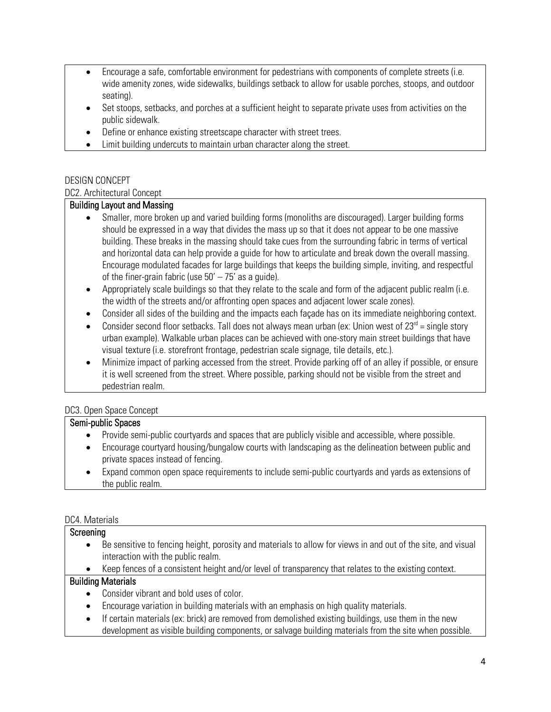- Encourage a safe, comfortable environment for pedestrians with components of complete streets (i.e. wide amenity zones, wide sidewalks, buildings setback to allow for usable porches, stoops, and outdoor seating).
- Set stoops, setbacks, and porches at a sufficient height to separate private uses from activities on the public sidewalk.
- Define or enhance existing streetscape character with street trees.
- Limit building undercuts to maintain urban character along the street.

# DESIGN CONCEPT

## DC2. Architectural Concept

## Building Layout and Massing

- Smaller, more broken up and varied building forms (monoliths are discouraged). Larger building forms should be expressed in a way that divides the mass up so that it does not appear to be one massive building. These breaks in the massing should take cues from the surrounding fabric in terms of vertical and horizontal data can help provide a guide for how to articulate and break down the overall massing. Encourage modulated facades for large buildings that keeps the building simple, inviting, and respectful of the finer-grain fabric (use  $50' - 75'$  as a guide).
- Appropriately scale buildings so that they relate to the scale and form of the adjacent public realm (i.e. the width of the streets and/or affronting open spaces and adjacent lower scale zones).
- Consider all sides of the building and the impacts each façade has on its immediate neighboring context.
- Consider second floor setbacks. Tall does not always mean urban (ex: Union west of  $23<sup>rd</sup>$  = single story urban example). Walkable urban places can be achieved with one-story main street buildings that have visual texture (i.e. storefront frontage, pedestrian scale signage, tile details, etc.).
- Minimize impact of parking accessed from the street. Provide parking off of an alley if possible, or ensure it is well screened from the street. Where possible, parking should not be visible from the street and pedestrian realm.

# DC3. Open Space Concept

## Semi-public Spaces

- Provide semi-public courtyards and spaces that are publicly visible and accessible, where possible.
- Encourage courtyard housing/bungalow courts with landscaping as the delineation between public and private spaces instead of fencing.
- Expand common open space requirements to include semi-public courtyards and yards as extensions of the public realm.

## DC4. Materials

## **Screening**

- Be sensitive to fencing height, porosity and materials to allow for views in and out of the site, and visual interaction with the public realm.
- Keep fences of a consistent height and/or level of transparency that relates to the existing context.

## Building Materials

- Consider vibrant and bold uses of color.
- Encourage variation in building materials with an emphasis on high quality materials.
- If certain materials (ex: brick) are removed from demolished existing buildings, use them in the new
	- development as visible building components, or salvage building materials from the site when possible.